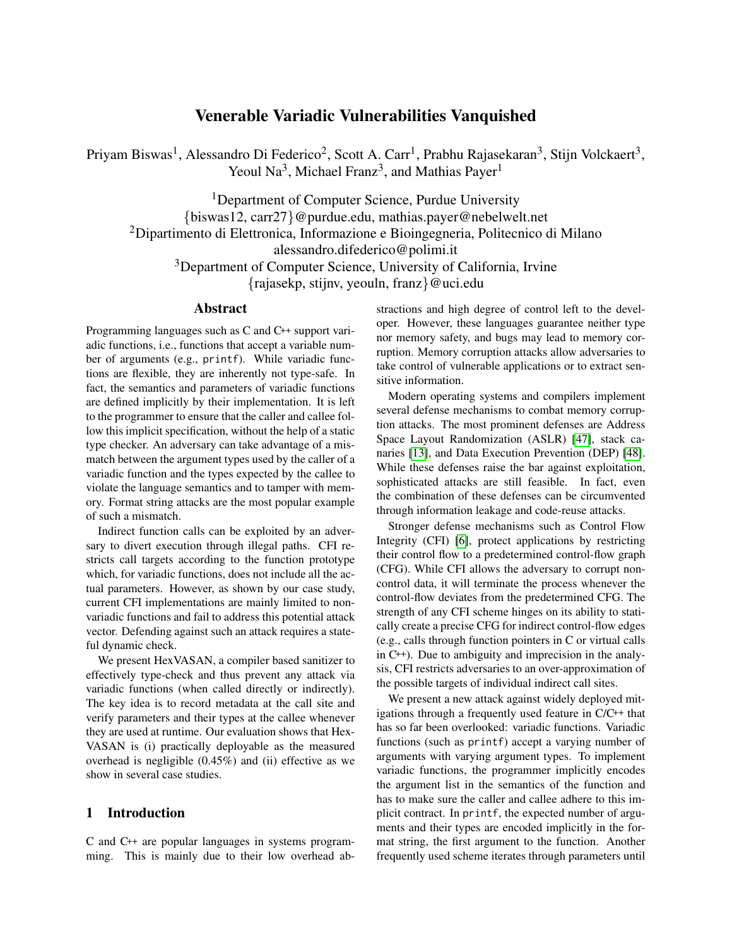# Venerable Variadic Vulnerabilities Vanquished

Priyam Biswas<sup>1</sup>, Alessandro Di Federico<sup>2</sup>, Scott A. Carr<sup>1</sup>, Prabhu Rajasekaran<sup>3</sup>, Stijn Volckaert<sup>3</sup>, Yeoul Na<sup>3</sup>, Michael Franz<sup>3</sup>, and Mathias Payer<sup>1</sup>

<sup>1</sup>Department of Computer Science, Purdue University {biswas12, carr27}@purdue.edu, mathias.payer@nebelwelt.net <sup>2</sup>Dipartimento di Elettronica, Informazione e Bioingegneria, Politecnico di Milano alessandro.difederico@polimi.it <sup>3</sup>Department of Computer Science, University of California, Irvine {rajasekp, stijnv, yeouln, franz}@uci.edu

## Abstract

Programming languages such as C and C++ support variadic functions, i.e., functions that accept a variable number of arguments (e.g., printf). While variadic functions are flexible, they are inherently not type-safe. In fact, the semantics and parameters of variadic functions are defined implicitly by their implementation. It is left to the programmer to ensure that the caller and callee follow this implicit specification, without the help of a static type checker. An adversary can take advantage of a mismatch between the argument types used by the caller of a variadic function and the types expected by the callee to violate the language semantics and to tamper with memory. Format string attacks are the most popular example of such a mismatch.

Indirect function calls can be exploited by an adversary to divert execution through illegal paths. CFI restricts call targets according to the function prototype which, for variadic functions, does not include all the actual parameters. However, as shown by our case study, current CFI implementations are mainly limited to nonvariadic functions and fail to address this potential attack vector. Defending against such an attack requires a stateful dynamic check.

We present HexVASAN, a compiler based sanitizer to effectively type-check and thus prevent any attack via variadic functions (when called directly or indirectly). The key idea is to record metadata at the call site and verify parameters and their types at the callee whenever they are used at runtime. Our evaluation shows that Hex-VASAN is (i) practically deployable as the measured overhead is negligible  $(0.45\%)$  and (ii) effective as we show in several case studies.

#### 1 Introduction

C and C++ are popular languages in systems programming. This is mainly due to their low overhead abstractions and high degree of control left to the developer. However, these languages guarantee neither type nor memory safety, and bugs may lead to memory corruption. Memory corruption attacks allow adversaries to take control of vulnerable applications or to extract sensitive information.

Modern operating systems and compilers implement several defense mechanisms to combat memory corruption attacks. The most prominent defenses are Address Space Layout Randomization (ASLR) [\[47\]](#page-14-0), stack canaries [\[13\]](#page-13-0), and Data Execution Prevention (DEP) [\[48\]](#page-14-1). While these defenses raise the bar against exploitation, sophisticated attacks are still feasible. In fact, even the combination of these defenses can be circumvented through information leakage and code-reuse attacks.

Stronger defense mechanisms such as Control Flow Integrity (CFI) [\[6\]](#page-13-1), protect applications by restricting their control flow to a predetermined control-flow graph (CFG). While CFI allows the adversary to corrupt noncontrol data, it will terminate the process whenever the control-flow deviates from the predetermined CFG. The strength of any CFI scheme hinges on its ability to statically create a precise CFG for indirect control-flow edges (e.g., calls through function pointers in C or virtual calls in C++). Due to ambiguity and imprecision in the analysis, CFI restricts adversaries to an over-approximation of the possible targets of individual indirect call sites.

We present a new attack against widely deployed mitigations through a frequently used feature in C/C++ that has so far been overlooked: variadic functions. Variadic functions (such as printf) accept a varying number of arguments with varying argument types. To implement variadic functions, the programmer implicitly encodes the argument list in the semantics of the function and has to make sure the caller and callee adhere to this implicit contract. In printf, the expected number of arguments and their types are encoded implicitly in the format string, the first argument to the function. Another frequently used scheme iterates through parameters until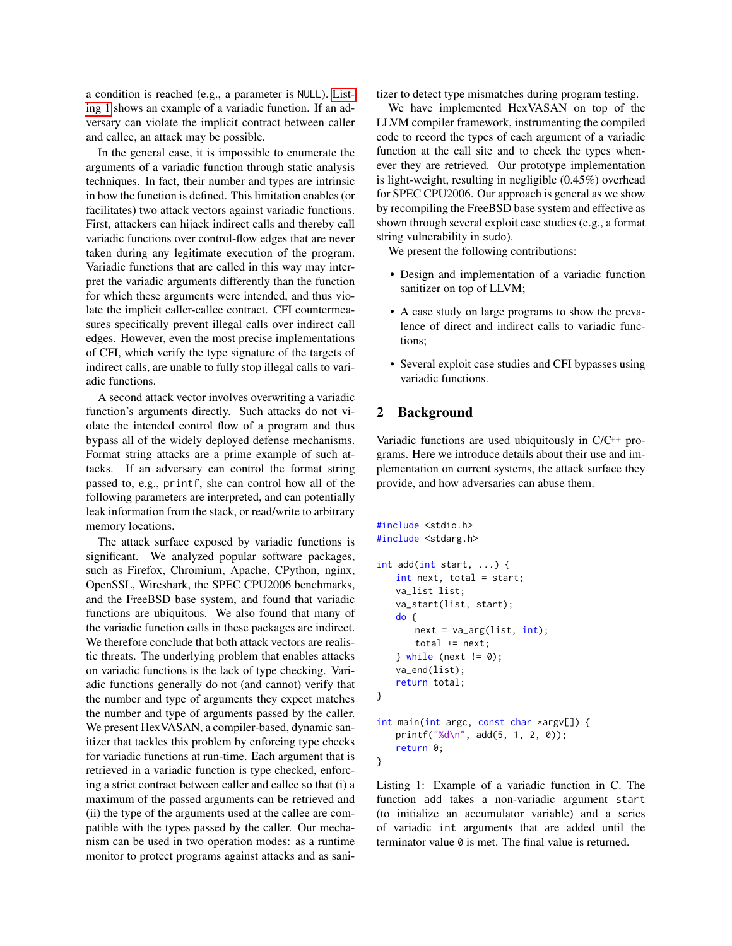a condition is reached (e.g., a parameter is NULL). [List](#page-1-0)[ing 1](#page-1-0) shows an example of a variadic function. If an adversary can violate the implicit contract between caller and callee, an attack may be possible.

In the general case, it is impossible to enumerate the arguments of a variadic function through static analysis techniques. In fact, their number and types are intrinsic in how the function is defined. This limitation enables (or facilitates) two attack vectors against variadic functions. First, attackers can hijack indirect calls and thereby call variadic functions over control-flow edges that are never taken during any legitimate execution of the program. Variadic functions that are called in this way may interpret the variadic arguments differently than the function for which these arguments were intended, and thus violate the implicit caller-callee contract. CFI countermeasures specifically prevent illegal calls over indirect call edges. However, even the most precise implementations of CFI, which verify the type signature of the targets of indirect calls, are unable to fully stop illegal calls to variadic functions.

A second attack vector involves overwriting a variadic function's arguments directly. Such attacks do not violate the intended control flow of a program and thus bypass all of the widely deployed defense mechanisms. Format string attacks are a prime example of such attacks. If an adversary can control the format string passed to, e.g., printf, she can control how all of the following parameters are interpreted, and can potentially leak information from the stack, or read/write to arbitrary memory locations.

The attack surface exposed by variadic functions is significant. We analyzed popular software packages, such as Firefox, Chromium, Apache, CPython, nginx, OpenSSL, Wireshark, the SPEC CPU2006 benchmarks, and the FreeBSD base system, and found that variadic functions are ubiquitous. We also found that many of the variadic function calls in these packages are indirect. We therefore conclude that both attack vectors are realistic threats. The underlying problem that enables attacks on variadic functions is the lack of type checking. Variadic functions generally do not (and cannot) verify that the number and type of arguments they expect matches the number and type of arguments passed by the caller. We present HexVASAN, a compiler-based, dynamic sanitizer that tackles this problem by enforcing type checks for variadic functions at run-time. Each argument that is retrieved in a variadic function is type checked, enforcing a strict contract between caller and callee so that (i) a maximum of the passed arguments can be retrieved and (ii) the type of the arguments used at the callee are compatible with the types passed by the caller. Our mechanism can be used in two operation modes: as a runtime monitor to protect programs against attacks and as sanitizer to detect type mismatches during program testing.

We have implemented HexVASAN on top of the LLVM compiler framework, instrumenting the compiled code to record the types of each argument of a variadic function at the call site and to check the types whenever they are retrieved. Our prototype implementation is light-weight, resulting in negligible (0.45%) overhead for SPEC CPU2006. Our approach is general as we show by recompiling the FreeBSD base system and effective as shown through several exploit case studies (e.g., a format string vulnerability in sudo).

We present the following contributions:

- Design and implementation of a variadic function sanitizer on top of LLVM;
- A case study on large programs to show the prevalence of direct and indirect calls to variadic functions;
- Several exploit case studies and CFI bypasses using variadic functions.

#### 2 Background

Variadic functions are used ubiquitously in C/C++ programs. Here we introduce details about their use and implementation on current systems, the attack surface they provide, and how adversaries can abuse them.

```
#include <stdio.h>
#include <stdarg.h>
int add(int start, ...) {
   int next, total = start;
   va_list list;
   va_start(list, start);
   do {
       next = va_{arg}(list, int);total += next;
   } while (next != 0);
   va_end(list);
   return total;
}
int main(int argc, const char *argv[]) {
   printf("%d\n", add(5, 1, 2, 0));
   return 0;
}
```
Listing 1: Example of a variadic function in C. The function add takes a non-variadic argument start (to initialize an accumulator variable) and a series of variadic int arguments that are added until the terminator value 0 is met. The final value is returned.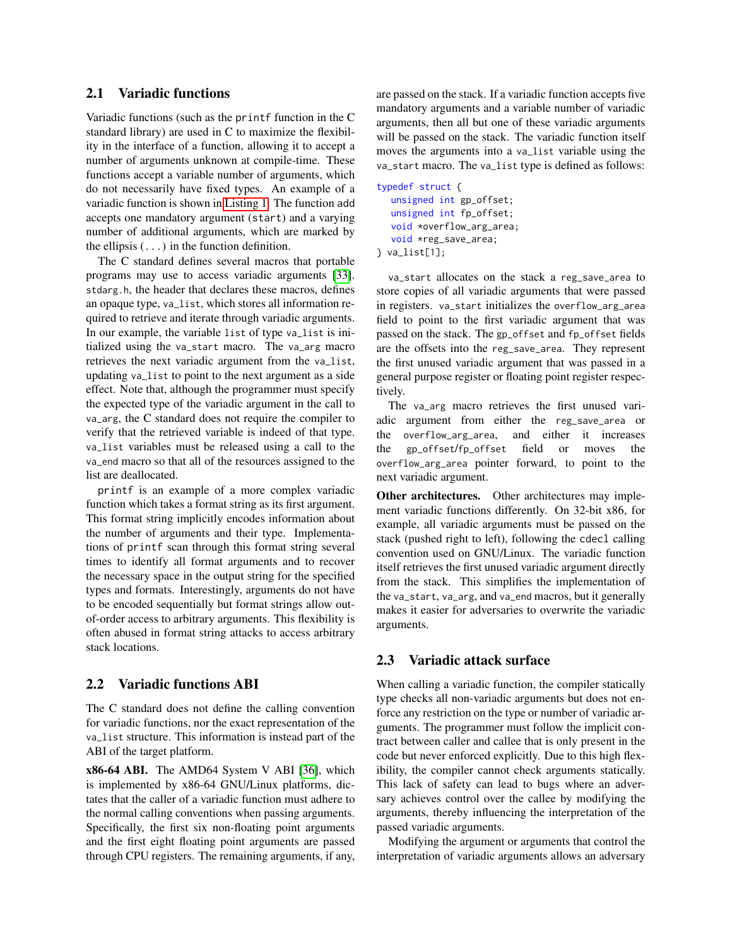## <span id="page-2-1"></span>2.1 Variadic functions

Variadic functions (such as the printf function in the C standard library) are used in C to maximize the flexibility in the interface of a function, allowing it to accept a number of arguments unknown at compile-time. These functions accept a variable number of arguments, which do not necessarily have fixed types. An example of a variadic function is shown in [Listing 1.](#page-1-0) The function add accepts one mandatory argument (start) and a varying number of additional arguments, which are marked by the ellipsis  $( \ldots )$  in the function definition.

The C standard defines several macros that portable programs may use to access variadic arguments [\[33\]](#page-14-2). stdarg.h, the header that declares these macros, defines an opaque type, va\_list, which stores all information required to retrieve and iterate through variadic arguments. In our example, the variable list of type va\_list is initialized using the va\_start macro. The va\_arg macro retrieves the next variadic argument from the va\_list, updating va\_list to point to the next argument as a side effect. Note that, although the programmer must specify the expected type of the variadic argument in the call to va\_arg, the C standard does not require the compiler to verify that the retrieved variable is indeed of that type. va\_list variables must be released using a call to the va\_end macro so that all of the resources assigned to the list are deallocated.

printf is an example of a more complex variadic function which takes a format string as its first argument. This format string implicitly encodes information about the number of arguments and their type. Implementations of printf scan through this format string several times to identify all format arguments and to recover the necessary space in the output string for the specified types and formats. Interestingly, arguments do not have to be encoded sequentially but format strings allow outof-order access to arbitrary arguments. This flexibility is often abused in format string attacks to access arbitrary stack locations.

## <span id="page-2-0"></span>2.2 Variadic functions ABI

The C standard does not define the calling convention for variadic functions, nor the exact representation of the va\_list structure. This information is instead part of the ABI of the target platform.

x86-64 ABI. The AMD64 System V ABI [\[36\]](#page-14-3), which is implemented by x86-64 GNU/Linux platforms, dictates that the caller of a variadic function must adhere to the normal calling conventions when passing arguments. Specifically, the first six non-floating point arguments and the first eight floating point arguments are passed through CPU registers. The remaining arguments, if any, are passed on the stack. If a variadic function accepts five mandatory arguments and a variable number of variadic arguments, then all but one of these variadic arguments will be passed on the stack. The variadic function itself moves the arguments into a va\_list variable using the va\_start macro. The va\_list type is defined as follows:

```
typedef struct {
  unsigned int gp_offset;
  unsigned int fp_offset;
  void *overflow_arg_area;
  void *reg_save_area;
} va_list[1];
```
va\_start allocates on the stack a reg\_save\_area to store copies of all variadic arguments that were passed in registers. va\_start initializes the overflow\_arg\_area field to point to the first variadic argument that was passed on the stack. The gp\_offset and fp\_offset fields are the offsets into the reg\_save\_area. They represent the first unused variadic argument that was passed in a general purpose register or floating point register respectively.

The va\_arg macro retrieves the first unused variadic argument from either the reg\_save\_area or the overflow\_arg\_area, and either it increases the gp\_offset/fp\_offset field or moves the overflow\_arg\_area pointer forward, to point to the next variadic argument.

Other architectures. Other architectures may implement variadic functions differently. On 32-bit x86, for example, all variadic arguments must be passed on the stack (pushed right to left), following the cdecl calling convention used on GNU/Linux. The variadic function itself retrieves the first unused variadic argument directly from the stack. This simplifies the implementation of the va\_start, va\_arg, and va\_end macros, but it generally makes it easier for adversaries to overwrite the variadic arguments.

## 2.3 Variadic attack surface

When calling a variadic function, the compiler statically type checks all non-variadic arguments but does not enforce any restriction on the type or number of variadic arguments. The programmer must follow the implicit contract between caller and callee that is only present in the code but never enforced explicitly. Due to this high flexibility, the compiler cannot check arguments statically. This lack of safety can lead to bugs where an adversary achieves control over the callee by modifying the arguments, thereby influencing the interpretation of the passed variadic arguments.

Modifying the argument or arguments that control the interpretation of variadic arguments allows an adversary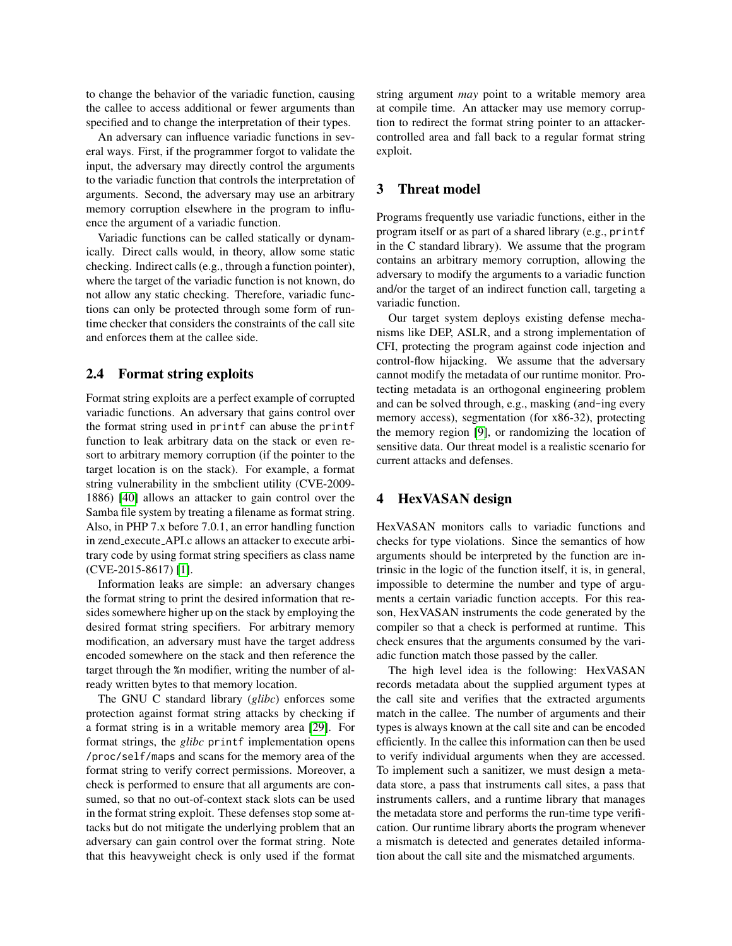to change the behavior of the variadic function, causing the callee to access additional or fewer arguments than specified and to change the interpretation of their types.

An adversary can influence variadic functions in several ways. First, if the programmer forgot to validate the input, the adversary may directly control the arguments to the variadic function that controls the interpretation of arguments. Second, the adversary may use an arbitrary memory corruption elsewhere in the program to influence the argument of a variadic function.

Variadic functions can be called statically or dynamically. Direct calls would, in theory, allow some static checking. Indirect calls (e.g., through a function pointer), where the target of the variadic function is not known, do not allow any static checking. Therefore, variadic functions can only be protected through some form of runtime checker that considers the constraints of the call site and enforces them at the callee side.

#### 2.4 Format string exploits

Format string exploits are a perfect example of corrupted variadic functions. An adversary that gains control over the format string used in printf can abuse the printf function to leak arbitrary data on the stack or even resort to arbitrary memory corruption (if the pointer to the target location is on the stack). For example, a format string vulnerability in the smbclient utility (CVE-2009- 1886) [\[40\]](#page-14-4) allows an attacker to gain control over the Samba file system by treating a filename as format string. Also, in PHP 7.x before 7.0.1, an error handling function in zend execute API.c allows an attacker to execute arbitrary code by using format string specifiers as class name (CVE-2015-8617) [\[1\]](#page-13-2).

Information leaks are simple: an adversary changes the format string to print the desired information that resides somewhere higher up on the stack by employing the desired format string specifiers. For arbitrary memory modification, an adversary must have the target address encoded somewhere on the stack and then reference the target through the %n modifier, writing the number of already written bytes to that memory location.

The GNU C standard library (*glibc*) enforces some protection against format string attacks by checking if a format string is in a writable memory area [\[29\]](#page-14-5). For format strings, the *glibc* printf implementation opens /proc/self/maps and scans for the memory area of the format string to verify correct permissions. Moreover, a check is performed to ensure that all arguments are consumed, so that no out-of-context stack slots can be used in the format string exploit. These defenses stop some attacks but do not mitigate the underlying problem that an adversary can gain control over the format string. Note that this heavyweight check is only used if the format string argument *may* point to a writable memory area at compile time. An attacker may use memory corruption to redirect the format string pointer to an attackercontrolled area and fall back to a regular format string exploit.

## 3 Threat model

Programs frequently use variadic functions, either in the program itself or as part of a shared library (e.g., printf in the C standard library). We assume that the program contains an arbitrary memory corruption, allowing the adversary to modify the arguments to a variadic function and/or the target of an indirect function call, targeting a variadic function.

Our target system deploys existing defense mechanisms like DEP, ASLR, and a strong implementation of CFI, protecting the program against code injection and control-flow hijacking. We assume that the adversary cannot modify the metadata of our runtime monitor. Protecting metadata is an orthogonal engineering problem and can be solved through, e.g., masking (and-ing every memory access), segmentation (for x86-32), protecting the memory region [\[9\]](#page-13-3), or randomizing the location of sensitive data. Our threat model is a realistic scenario for current attacks and defenses.

## <span id="page-3-0"></span>4 HexVASAN design

HexVASAN monitors calls to variadic functions and checks for type violations. Since the semantics of how arguments should be interpreted by the function are intrinsic in the logic of the function itself, it is, in general, impossible to determine the number and type of arguments a certain variadic function accepts. For this reason, HexVASAN instruments the code generated by the compiler so that a check is performed at runtime. This check ensures that the arguments consumed by the variadic function match those passed by the caller.

The high level idea is the following: HexVASAN records metadata about the supplied argument types at the call site and verifies that the extracted arguments match in the callee. The number of arguments and their types is always known at the call site and can be encoded efficiently. In the callee this information can then be used to verify individual arguments when they are accessed. To implement such a sanitizer, we must design a metadata store, a pass that instruments call sites, a pass that instruments callers, and a runtime library that manages the metadata store and performs the run-time type verification. Our runtime library aborts the program whenever a mismatch is detected and generates detailed information about the call site and the mismatched arguments.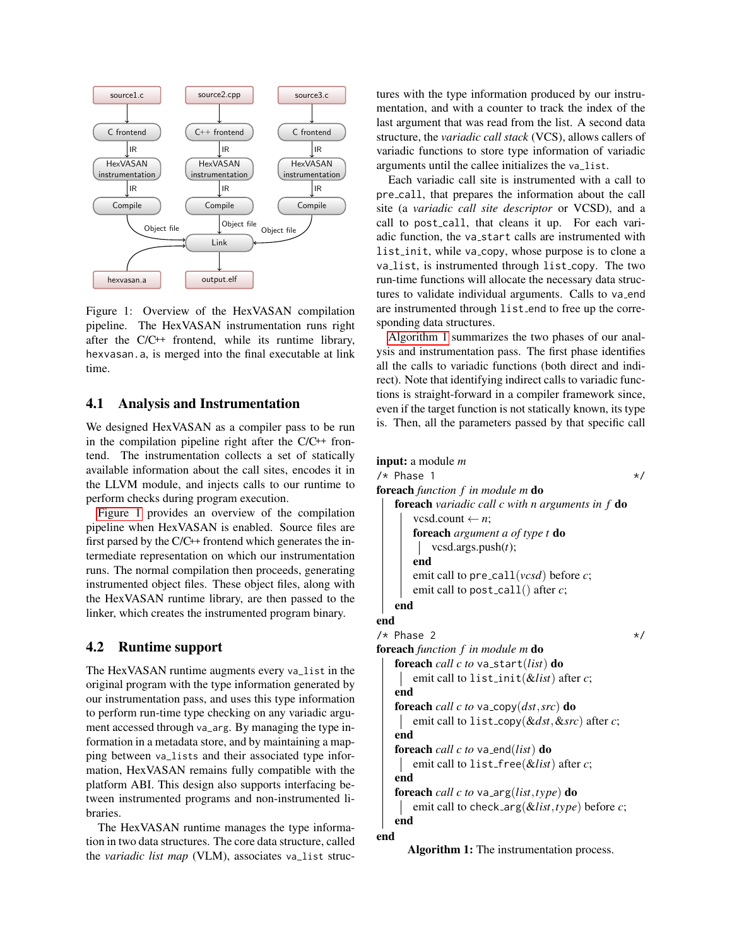

<span id="page-4-0"></span>Figure 1: Overview of the HexVASAN compilation pipeline. The HexVASAN instrumentation runs right after the C/C++ frontend, while its runtime library, hexvasan.a, is merged into the final executable at link time.

## 4.1 Analysis and Instrumentation

We designed HexVASAN as a compiler pass to be run in the compilation pipeline right after the  $C/C^{++}$  frontend. The instrumentation collects a set of statically available information about the call sites, encodes it in the LLVM module, and injects calls to our runtime to perform checks during program execution.

[Figure 1](#page-4-0) provides an overview of the compilation pipeline when HexVASAN is enabled. Source files are first parsed by the C/C++ frontend which generates the intermediate representation on which our instrumentation runs. The normal compilation then proceeds, generating instrumented object files. These object files, along with the HexVASAN runtime library, are then passed to the linker, which creates the instrumented program binary.

# 4.2 Runtime support

The HexVASAN runtime augments every va\_list in the original program with the type information generated by our instrumentation pass, and uses this type information to perform run-time type checking on any variadic argument accessed through va\_arg. By managing the type information in a metadata store, and by maintaining a mapping between va\_lists and their associated type information, HexVASAN remains fully compatible with the platform ABI. This design also supports interfacing between instrumented programs and non-instrumented libraries.

The HexVASAN runtime manages the type information in two data structures. The core data structure, called the *variadic list map* (VLM), associates va\_list structures with the type information produced by our instrumentation, and with a counter to track the index of the last argument that was read from the list. A second data structure, the *variadic call stack* (VCS), allows callers of variadic functions to store type information of variadic arguments until the callee initializes the va\_list.

Each variadic call site is instrumented with a call to pre call, that prepares the information about the call site (a *variadic call site descriptor* or VCSD), and a call to post call, that cleans it up. For each variadic function, the va start calls are instrumented with list init, while va copy, whose purpose is to clone a va list, is instrumented through list copy. The two run-time functions will allocate the necessary data structures to validate individual arguments. Calls to va\_end are instrumented through list end to free up the corresponding data structures.

[Algorithm 1](#page-4-1) summarizes the two phases of our analysis and instrumentation pass. The first phase identifies all the calls to variadic functions (both direct and indirect). Note that identifying indirect calls to variadic functions is straight-forward in a compiler framework since, even if the target function is not statically known, its type is. Then, all the parameters passed by that specific call

```
input: a module m
/* Phase 1 */
foreach function f in module m do
   foreach variadic call c with n arguments in f do
      vcsd.count \leftarrow n;
      foreach argument a of type t do
         vcsd.args.push(t);
      end
      emit call to pre call(vcsd) before c;
      emit call to post_call() after c;
   end
end
/* Phase 2 */foreach function f in module m do
   foreach call c to va start(list) do
      emit call to list init(&list) after c;
   end
   foreach call c to va copy(dst,src) do
      emit call to list copy(&dst,&src) after c;
   end
   foreach call c to va end(list) do
      emit call to list free(&list) after c;
   end
   foreach call c to va arg(list,type) do
      emit call to check arg(&list,type) before c;
   end
end
```
Algorithm 1: The instrumentation process.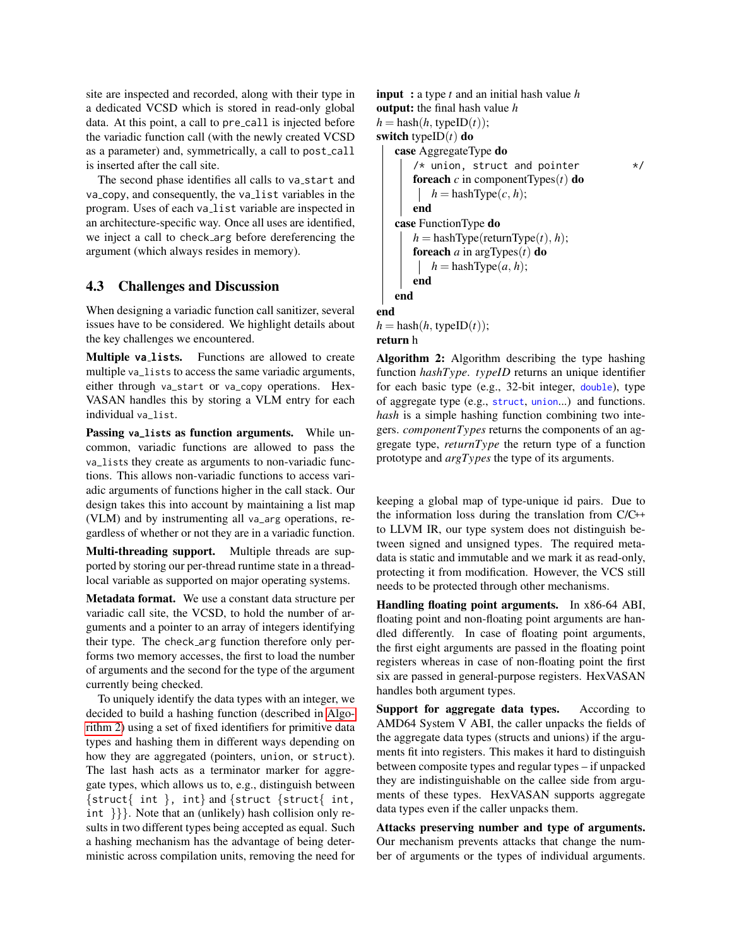site are inspected and recorded, along with their type in a dedicated VCSD which is stored in read-only global data. At this point, a call to pre-call is injected before the variadic function call (with the newly created VCSD as a parameter) and, symmetrically, a call to post\_call is inserted after the call site.

The second phase identifies all calls to va\_start and va copy, and consequently, the va list variables in the program. Uses of each va list variable are inspected in an architecture-specific way. Once all uses are identified, we inject a call to check arg before dereferencing the argument (which always resides in memory).

## <span id="page-5-1"></span>4.3 Challenges and Discussion

When designing a variadic function call sanitizer, several issues have to be considered. We highlight details about the key challenges we encountered.

Multiple **va list**s. Functions are allowed to create multiple va\_lists to access the same variadic arguments, either through va\_start or va\_copy operations. Hex-VASAN handles this by storing a VLM entry for each individual va\_list.

Passing **va\_list**s as function arguments. While uncommon, variadic functions are allowed to pass the va\_lists they create as arguments to non-variadic functions. This allows non-variadic functions to access variadic arguments of functions higher in the call stack. Our design takes this into account by maintaining a list map (VLM) and by instrumenting all va\_arg operations, regardless of whether or not they are in a variadic function.

Multi-threading support. Multiple threads are supported by storing our per-thread runtime state in a threadlocal variable as supported on major operating systems.

Metadata format. We use a constant data structure per variadic call site, the VCSD, to hold the number of arguments and a pointer to an array of integers identifying their type. The check arg function therefore only performs two memory accesses, the first to load the number of arguments and the second for the type of the argument currently being checked.

To uniquely identify the data types with an integer, we decided to build a hashing function (described in [Algo](#page-5-0)[rithm 2\)](#page-5-0) using a set of fixed identifiers for primitive data types and hashing them in different ways depending on how they are aggregated (pointers, union, or struct). The last hash acts as a terminator marker for aggregate types, which allows us to, e.g., distinguish between  $\{struct\}$  int  $\}$ , int $\}$  and  $\{struct\}$  int, int }}}. Note that an (unlikely) hash collision only results in two different types being accepted as equal. Such a hashing mechanism has the advantage of being deterministic across compilation units, removing the need for

```
input : a type t and an initial hash value h
output: the final hash value h
h =hash(h, typeID(t));
switch typeID(t) do
   case AggregateType do
      /* union, struct and pointer */foreach c in componentTypes(t) do
         h = hashType(c, h);
      end
   case FunctionType do
      h = hashType(returnType(t), h);
      foreach a in argTypes(t) do
        h =hashType(a, h);
      end
   end
end
```
 $h =$ hash $(h,$  typeID $(t)$ ); return h

Algorithm 2: Algorithm describing the type hashing function *hashType*. *typeID* returns an unique identifier for each basic type (e.g., 32-bit integer, double), type of aggregate type (e.g., struct, union...) and functions. *hash* is a simple hashing function combining two integers. *componentTypes* returns the components of an aggregate type, *returnType* the return type of a function prototype and *argTypes* the type of its arguments.

keeping a global map of type-unique id pairs. Due to the information loss during the translation from C/C++ to LLVM IR, our type system does not distinguish between signed and unsigned types. The required metadata is static and immutable and we mark it as read-only, protecting it from modification. However, the VCS still needs to be protected through other mechanisms.

Handling floating point arguments. In x86-64 ABI, floating point and non-floating point arguments are handled differently. In case of floating point arguments, the first eight arguments are passed in the floating point registers whereas in case of non-floating point the first six are passed in general-purpose registers. HexVASAN handles both argument types.

Support for aggregate data types. According to AMD64 System V ABI, the caller unpacks the fields of the aggregate data types (structs and unions) if the arguments fit into registers. This makes it hard to distinguish between composite types and regular types – if unpacked they are indistinguishable on the callee side from arguments of these types. HexVASAN supports aggregate data types even if the caller unpacks them.

Attacks preserving number and type of arguments. Our mechanism prevents attacks that change the number of arguments or the types of individual arguments.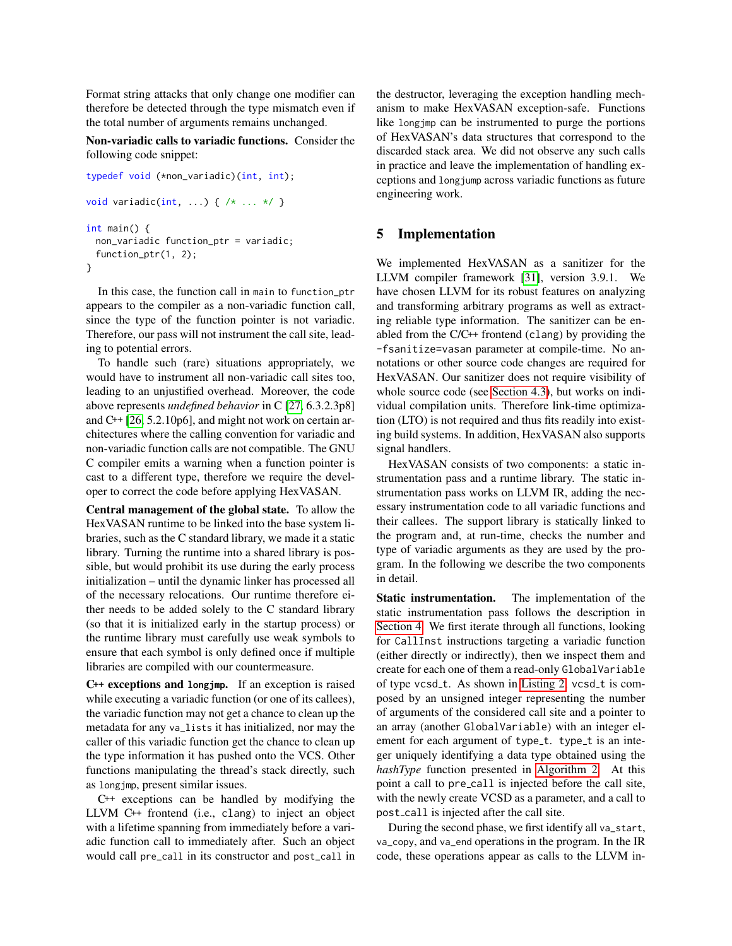Format string attacks that only change one modifier can therefore be detected through the type mismatch even if the total number of arguments remains unchanged.

Non-variadic calls to variadic functions. Consider the following code snippet:

```
typedef void (*non_variadic)(int, int);
void variadic(int, ...) { /* ... * / }
int main() {
 non_variadic function_ptr = variadic;
 function_ptr(1, 2);
}
```
In this case, the function call in main to function\_ptr appears to the compiler as a non-variadic function call, since the type of the function pointer is not variadic. Therefore, our pass will not instrument the call site, leading to potential errors.

To handle such (rare) situations appropriately, we would have to instrument all non-variadic call sites too, leading to an unjustified overhead. Moreover, the code above represents *undefined behavior* in C [\[27,](#page-14-6) 6.3.2.3p8] and C++ [\[26,](#page-14-7) 5.2.10p6], and might not work on certain architectures where the calling convention for variadic and non-variadic function calls are not compatible. The GNU C compiler emits a warning when a function pointer is cast to a different type, therefore we require the developer to correct the code before applying HexVASAN.

Central management of the global state. To allow the HexVASAN runtime to be linked into the base system libraries, such as the C standard library, we made it a static library. Turning the runtime into a shared library is possible, but would prohibit its use during the early process initialization – until the dynamic linker has processed all of the necessary relocations. Our runtime therefore either needs to be added solely to the C standard library (so that it is initialized early in the startup process) or the runtime library must carefully use weak symbols to ensure that each symbol is only defined once if multiple libraries are compiled with our countermeasure.

C++ exceptions and **longjmp**. If an exception is raised while executing a variadic function (or one of its callees), the variadic function may not get a chance to clean up the metadata for any va\_lists it has initialized, nor may the caller of this variadic function get the chance to clean up the type information it has pushed onto the VCS. Other functions manipulating the thread's stack directly, such as longjmp, present similar issues.

C++ exceptions can be handled by modifying the LLVM C++ frontend (i.e., clang) to inject an object with a lifetime spanning from immediately before a variadic function call to immediately after. Such an object would call pre\_call in its constructor and post\_call in the destructor, leveraging the exception handling mechanism to make HexVASAN exception-safe. Functions like longjmp can be instrumented to purge the portions of HexVASAN's data structures that correspond to the discarded stack area. We did not observe any such calls in practice and leave the implementation of handling exceptions and longjump across variadic functions as future engineering work.

#### 5 Implementation

We implemented HexVASAN as a sanitizer for the LLVM compiler framework [\[31\]](#page-14-8), version 3.9.1. We have chosen LLVM for its robust features on analyzing and transforming arbitrary programs as well as extracting reliable type information. The sanitizer can be enabled from the C/C++ frontend (clang) by providing the -fsanitize=vasan parameter at compile-time. No annotations or other source code changes are required for HexVASAN. Our sanitizer does not require visibility of whole source code (see [Section 4.3\)](#page-5-1), but works on individual compilation units. Therefore link-time optimization (LTO) is not required and thus fits readily into existing build systems. In addition, HexVASAN also supports signal handlers.

HexVASAN consists of two components: a static instrumentation pass and a runtime library. The static instrumentation pass works on LLVM IR, adding the necessary instrumentation code to all variadic functions and their callees. The support library is statically linked to the program and, at run-time, checks the number and type of variadic arguments as they are used by the program. In the following we describe the two components in detail.

Static instrumentation. The implementation of the static instrumentation pass follows the description in [Section 4.](#page-3-0) We first iterate through all functions, looking for CallInst instructions targeting a variadic function (either directly or indirectly), then we inspect them and create for each one of them a read-only GlobalVariable of type vcsd\_t. As shown in [Listing 2,](#page-7-0) vcsd\_t is composed by an unsigned integer representing the number of arguments of the considered call site and a pointer to an array (another GlobalVariable) with an integer element for each argument of type\_t. type\_t is an integer uniquely identifying a data type obtained using the *hashType* function presented in [Algorithm 2.](#page-5-0) At this point a call to pre call is injected before the call site, with the newly create VCSD as a parameter, and a call to post call is injected after the call site.

During the second phase, we first identify all va\_start, va\_copy, and va\_end operations in the program. In the IR code, these operations appear as calls to the LLVM in-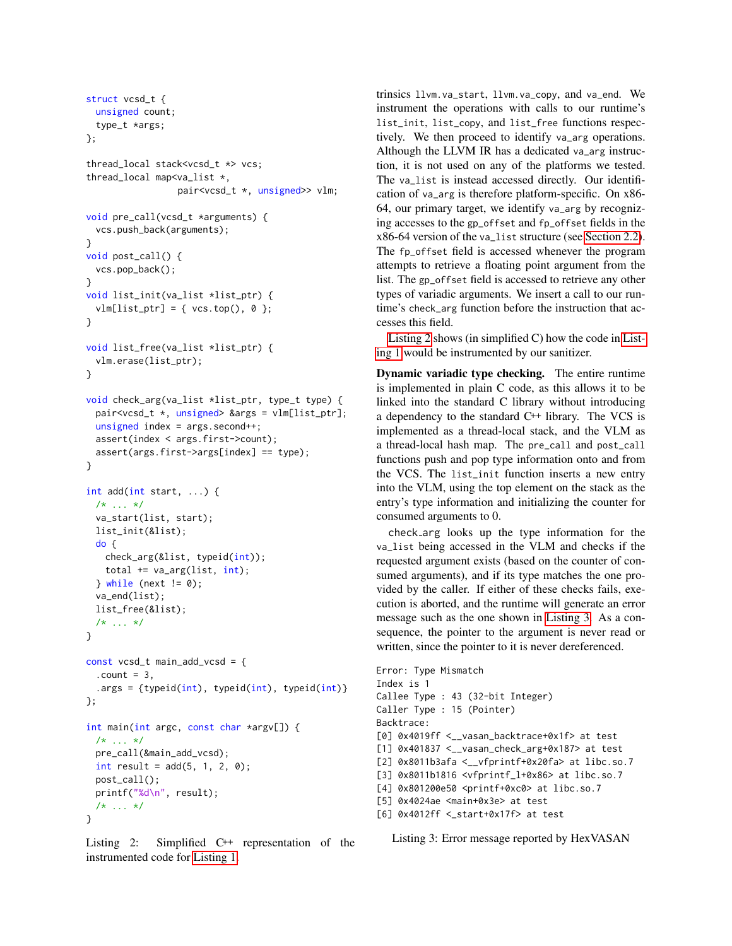```
struct vcsd_t {
 unsigned count;
 type_t *args;
};
thread_local stack<vcsd_t *> vcs;
thread_local map<va_list *,
                 pair<vcsd_t *, unsigned>> vlm;
void pre_call(vcsd_t *arguments) {
 vcs.push_back(arguments);
}
void post_call() {
 vcs.pop_back();
}
void list_init(va_list *list_ptr) {
 vlm[list_ptr] = \{ vcs.top(), \emptyset \};}
void list_free(va_list *list_ptr) {
 vlm.erase(list_ptr);
}
void check_arg(va_list *list_ptr, type_t type) {
 pair<vcsd_t *, unsigned> &args = vlm[list_ptr];
 unsigned index = args.second++;assert(index < args.first->count);
 assert(args.first->args[index] == type);
}
int add(int start, ...) {
 /* ... */
 va_start(list, start);
 list_init(&list);
 do {
   check_arg(&list, typeid(int));
   total += va_arg(list, int);
 } while (next != 0);
 va_end(list);
 list_free(&list);
 /* ... */
}
const vcsd_t main_add_vcsd = {
  . count = 3,
 .args = {typeid(int), typeid(int), typeid(int)}
};
int main(int argc, const char *argv[]) {
 /* ... */
 pre_call(&main_add_vcsd);
 int result = add(5, 1, 2, 0);post_call();
 printf("%d\n", result);
 /* ... */
}
```
Listing 2: Simplified C++ representation of the instrumented code for [Listing 1.](#page-1-0)

trinsics llvm.va\_start, llvm.va\_copy, and va\_end. We instrument the operations with calls to our runtime's list\_init, list\_copy, and list\_free functions respectively. We then proceed to identify va\_arg operations. Although the LLVM IR has a dedicated va\_arg instruction, it is not used on any of the platforms we tested. The va\_list is instead accessed directly. Our identification of va\_arg is therefore platform-specific. On x86- 64, our primary target, we identify va\_arg by recognizing accesses to the gp\_offset and fp\_offset fields in the x86-64 version of the va\_list structure (see [Section 2.2\)](#page-2-0). The fp\_offset field is accessed whenever the program attempts to retrieve a floating point argument from the list. The gp\_offset field is accessed to retrieve any other types of variadic arguments. We insert a call to our runtime's check\_arg function before the instruction that accesses this field.

[Listing 2](#page-7-0) shows (in simplified C) how the code in [List](#page-1-0)[ing 1](#page-1-0) would be instrumented by our sanitizer.

Dynamic variadic type checking. The entire runtime is implemented in plain C code, as this allows it to be linked into the standard C library without introducing a dependency to the standard C++ library. The VCS is implemented as a thread-local stack, and the VLM as a thread-local hash map. The pre\_call and post\_call functions push and pop type information onto and from the VCS. The list\_init function inserts a new entry into the VLM, using the top element on the stack as the entry's type information and initializing the counter for consumed arguments to 0.

check arg looks up the type information for the va\_list being accessed in the VLM and checks if the requested argument exists (based on the counter of consumed arguments), and if its type matches the one provided by the caller. If either of these checks fails, execution is aborted, and the runtime will generate an error message such as the one shown in [Listing 3.](#page-7-1) As a consequence, the pointer to the argument is never read or written, since the pointer to it is never dereferenced.

```
Error: Type Mismatch
Index is 1
Callee Type : 43 (32-bit Integer)
Caller Type : 15 (Pointer)
Backtrace:
[0] 0x4019ff <__vasan_backtrace+0x1f> at test
[1] 0x401837 <__vasan_check_arg+0x187> at test
[2] 0x8011b3afa <__vfprintf+0x20fa> at libc.so.7
[3] 0x8011b1816 <vfprintf_l+0x86> at libc.so.7
[4] 0x801200e50 <printf+0xc0> at libc.so.7
[5] 0x4024ae <main+0x3e> at test
[6] 0x4012ff <_start+0x17f> at test
```
Listing 3: Error message reported by HexVASAN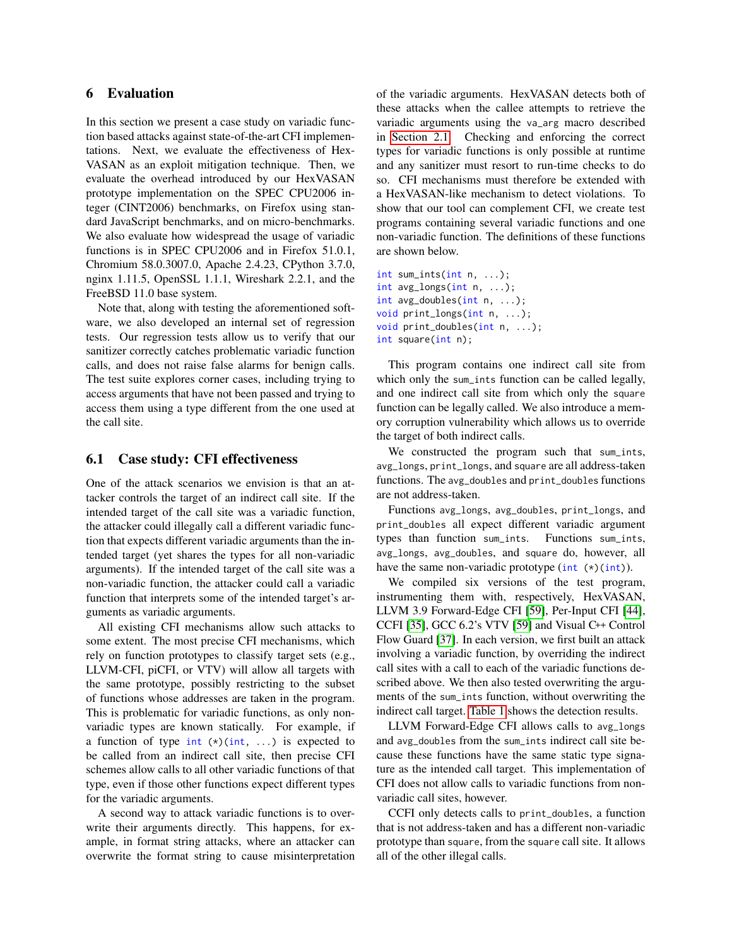## 6 Evaluation

In this section we present a case study on variadic function based attacks against state-of-the-art CFI implementations. Next, we evaluate the effectiveness of Hex-VASAN as an exploit mitigation technique. Then, we evaluate the overhead introduced by our HexVASAN prototype implementation on the SPEC CPU2006 integer (CINT2006) benchmarks, on Firefox using standard JavaScript benchmarks, and on micro-benchmarks. We also evaluate how widespread the usage of variadic functions is in SPEC CPU2006 and in Firefox 51.0.1, Chromium 58.0.3007.0, Apache 2.4.23, CPython 3.7.0, nginx 1.11.5, OpenSSL 1.1.1, Wireshark 2.2.1, and the FreeBSD 11.0 base system.

Note that, along with testing the aforementioned software, we also developed an internal set of regression tests. Our regression tests allow us to verify that our sanitizer correctly catches problematic variadic function calls, and does not raise false alarms for benign calls. The test suite explores corner cases, including trying to access arguments that have not been passed and trying to access them using a type different from the one used at the call site.

#### <span id="page-8-0"></span>6.1 Case study: CFI effectiveness

One of the attack scenarios we envision is that an attacker controls the target of an indirect call site. If the intended target of the call site was a variadic function, the attacker could illegally call a different variadic function that expects different variadic arguments than the intended target (yet shares the types for all non-variadic arguments). If the intended target of the call site was a non-variadic function, the attacker could call a variadic function that interprets some of the intended target's arguments as variadic arguments.

All existing CFI mechanisms allow such attacks to some extent. The most precise CFI mechanisms, which rely on function prototypes to classify target sets (e.g., LLVM-CFI, piCFI, or VTV) will allow all targets with the same prototype, possibly restricting to the subset of functions whose addresses are taken in the program. This is problematic for variadic functions, as only nonvariadic types are known statically. For example, if a function of type int  $(*)$  (int, ...) is expected to be called from an indirect call site, then precise CFI schemes allow calls to all other variadic functions of that type, even if those other functions expect different types for the variadic arguments.

A second way to attack variadic functions is to overwrite their arguments directly. This happens, for example, in format string attacks, where an attacker can overwrite the format string to cause misinterpretation of the variadic arguments. HexVASAN detects both of these attacks when the callee attempts to retrieve the variadic arguments using the va\_arg macro described in [Section 2.1.](#page-2-1) Checking and enforcing the correct types for variadic functions is only possible at runtime and any sanitizer must resort to run-time checks to do so. CFI mechanisms must therefore be extended with a HexVASAN-like mechanism to detect violations. To show that our tool can complement CFI, we create test programs containing several variadic functions and one non-variadic function. The definitions of these functions are shown below.

```
int sum_ints(int n, ...);
int avg_longs(int n, ...);
int avg_doubles(int n, ...);
void print_longs(int n, ...);
void print_doubles(int n, ...);
int square(int n);
```
This program contains one indirect call site from which only the sum\_ints function can be called legally, and one indirect call site from which only the square function can be legally called. We also introduce a memory corruption vulnerability which allows us to override the target of both indirect calls.

We constructed the program such that sum\_ints, avg\_longs, print\_longs, and square are all address-taken functions. The avg\_doubles and print\_doubles functions are not address-taken.

Functions avg\_longs, avg\_doubles, print\_longs, and print\_doubles all expect different variadic argument types than function sum\_ints. Functions sum\_ints, avg\_longs, avg\_doubles, and square do, however, all have the same non-variadic prototype  $(int (*) (int)).$ 

We compiled six versions of the test program, instrumenting them with, respectively, HexVASAN, LLVM 3.9 Forward-Edge CFI [\[59\]](#page-14-9), Per-Input CFI [\[44\]](#page-14-10), CCFI [\[35\]](#page-14-11), GCC 6.2's VTV [\[59\]](#page-14-9) and Visual C++ Control Flow Guard [\[37\]](#page-14-12). In each version, we first built an attack involving a variadic function, by overriding the indirect call sites with a call to each of the variadic functions described above. We then also tested overwriting the arguments of the sum\_ints function, without overwriting the indirect call target. [Table 1](#page-9-0) shows the detection results.

LLVM Forward-Edge CFI allows calls to avg\_longs and avg\_doubles from the sum\_ints indirect call site because these functions have the same static type signature as the intended call target. This implementation of CFI does not allow calls to variadic functions from nonvariadic call sites, however.

CCFI only detects calls to print\_doubles, a function that is not address-taken and has a different non-variadic prototype than square, from the square call site. It allows all of the other illegal calls.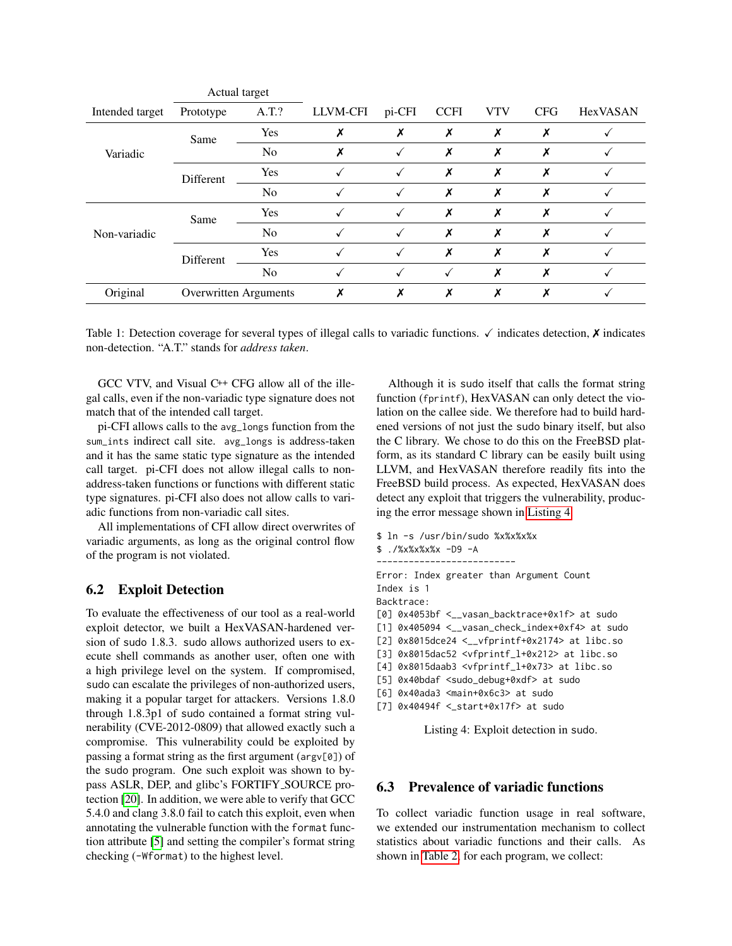|                 | Actual target                |                |          |        |             |            |            |                 |
|-----------------|------------------------------|----------------|----------|--------|-------------|------------|------------|-----------------|
| Intended target | Prototype                    | A.T.?          | LLVM-CFI | pi-CFI | <b>CCFI</b> | <b>VTV</b> | <b>CFG</b> | <b>HexVASAN</b> |
| Variadic        | Same                         | Yes            | X        | X      | Х           | X          | X          |                 |
|                 |                              | N <sub>o</sub> | X        |        | Х           | X          | Х          |                 |
|                 | Different                    | Yes            |          |        | Х           | Х          | Х          |                 |
|                 |                              | No             |          |        | Х           | Х          | Х          |                 |
| Non-variadic    | Same                         | Yes            |          |        | X           | X          | Х          |                 |
|                 |                              | N <sub>o</sub> |          |        | X           | Х          | X          |                 |
|                 | Different                    | Yes            |          |        | X           | Х          | х          |                 |
|                 |                              | N <sub>o</sub> |          |        | √           | Х          | Х          |                 |
| Original        | <b>Overwritten Arguments</b> |                |          | Х      | Х           | X          | X          |                 |

<span id="page-9-0"></span>Table 1: Detection coverage for several types of illegal calls to variadic functions.  $\checkmark$  indicates detection,  $\checkmark$  indicates non-detection. "A.T." stands for *address taken*.

GCC VTV, and Visual C++ CFG allow all of the illegal calls, even if the non-variadic type signature does not match that of the intended call target.

pi-CFI allows calls to the avg\_longs function from the sum\_ints indirect call site. avg\_longs is address-taken and it has the same static type signature as the intended call target. pi-CFI does not allow illegal calls to nonaddress-taken functions or functions with different static type signatures. pi-CFI also does not allow calls to variadic functions from non-variadic call sites.

All implementations of CFI allow direct overwrites of variadic arguments, as long as the original control flow of the program is not violated.

## 6.2 Exploit Detection

To evaluate the effectiveness of our tool as a real-world exploit detector, we built a HexVASAN-hardened version of sudo 1.8.3. sudo allows authorized users to execute shell commands as another user, often one with a high privilege level on the system. If compromised, sudo can escalate the privileges of non-authorized users, making it a popular target for attackers. Versions 1.8.0 through 1.8.3p1 of sudo contained a format string vulnerability (CVE-2012-0809) that allowed exactly such a compromise. This vulnerability could be exploited by passing a format string as the first argument (argv[0]) of the sudo program. One such exploit was shown to bypass ASLR, DEP, and glibc's FORTIFY SOURCE protection [\[20\]](#page-13-4). In addition, we were able to verify that GCC 5.4.0 and clang 3.8.0 fail to catch this exploit, even when annotating the vulnerable function with the format function attribute [\[5\]](#page-13-5) and setting the compiler's format string checking (-Wformat) to the highest level.

Although it is sudo itself that calls the format string function (fprintf), HexVASAN can only detect the violation on the callee side. We therefore had to build hardened versions of not just the sudo binary itself, but also the C library. We chose to do this on the FreeBSD platform, as its standard C library can be easily built using LLVM, and HexVASAN therefore readily fits into the FreeBSD build process. As expected, HexVASAN does detect any exploit that triggers the vulnerability, producing the error message shown in [Listing 4.](#page-9-1)

```
$ ln -s /usr/bin/sudo %x%x%x%x
$ ./%x%x%x%x -D9 -A
  --------------------------
Error: Index greater than Argument Count
Index is 1
Backtrace:
[0] 0x4053bf <__vasan_backtrace+0x1f> at sudo
[1] 0x405094 <__vasan_check_index+0xf4> at sudo
[2] 0x8015dce24 <__vfprintf+0x2174> at libc.so
[3] 0x8015dac52 <vfprintf_l+0x212> at libc.so
[4] 0x8015daab3 <vfprintf_l+0x73> at libc.so
[5] 0x40bdaf <sudo_debug+0xdf> at sudo
[6] 0x40ada3 <main+0x6c3> at sudo
[7] 0x40494f <_start+0x17f> at sudo
```
Listing 4: Exploit detection in sudo.

## 6.3 Prevalence of variadic functions

To collect variadic function usage in real software, we extended our instrumentation mechanism to collect statistics about variadic functions and their calls. As shown in [Table 2,](#page-10-0) for each program, we collect: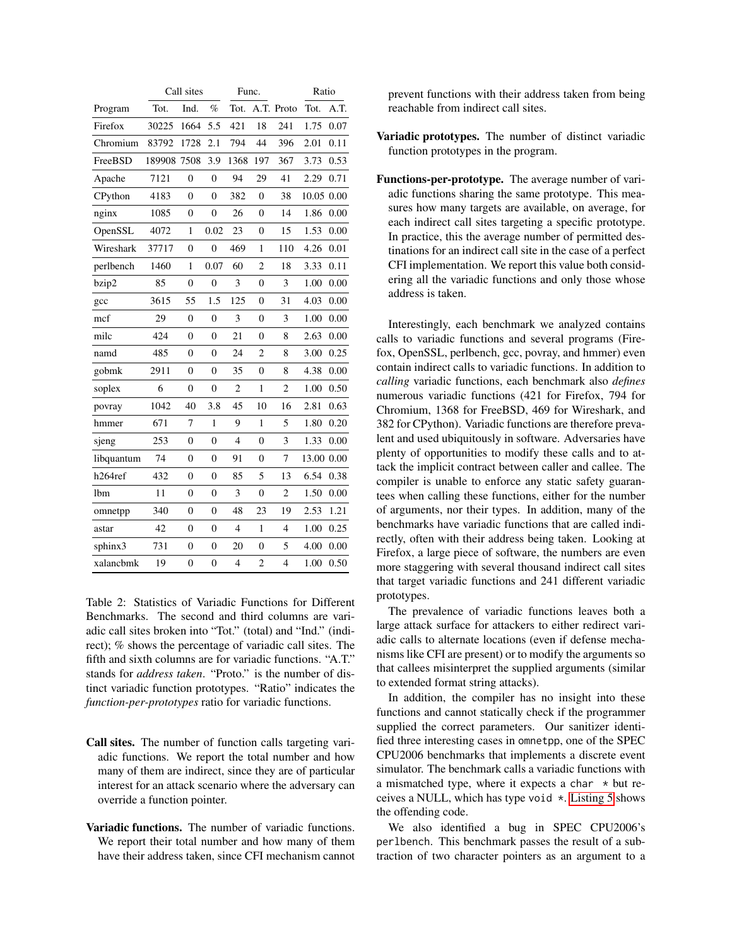|            | Call sites |                  |                | Func.          |                |                | Ratio      |      |
|------------|------------|------------------|----------------|----------------|----------------|----------------|------------|------|
| Program    | Tot.       | Ind.             | $\%$           | Tot.           |                | A.T. Proto     | Tot.       | A.T. |
| Firefox    | 30225      | 1664             | 5.5            | 421            | 18             | 241            | 1.75       | 0.07 |
| Chromium   | 83792      | 1728             | 2.1            | 794            | 44             | 396            | 2.01       | 0.11 |
| FreeBSD    | 189908     | 7508             | 3.9            | 1368           | 197            | 367            | 3.73       | 0.53 |
| Apache     | 7121       | $\overline{0}$   | $\overline{0}$ | 94             | 29             | 41             | 2.29       | 0.71 |
| CPython    | 4183       | 0                | $\overline{0}$ | 382            | $\overline{0}$ | 38             | 10.05 0.00 |      |
| nginx      | 1085       | $\boldsymbol{0}$ | $\overline{0}$ | 26             | $\overline{0}$ | 14             | 1.86       | 0.00 |
| OpenSSL    | 4072       | $\mathbf{1}$     | 0.02           | 23             | $\overline{0}$ | 15             | 1.53       | 0.00 |
| Wireshark  | 37717      | $\overline{0}$   | $\overline{0}$ | 469            | 1              | 110            | 4.26       | 0.01 |
| perlbench  | 1460       | 1                | 0.07           | 60             | $\overline{c}$ | 18             | 3.33       | 0.11 |
| bzip2      | 85         | $\overline{0}$   | $\overline{0}$ | 3              | $\overline{0}$ | 3              | 1.00       | 0.00 |
| gcc        | 3615       | 55               | 1.5            | 125            | $\overline{0}$ | 31             | 4.03       | 0.00 |
| mcf        | 29         | $\boldsymbol{0}$ | $\overline{0}$ | 3              | $\overline{0}$ | 3              | 1.00       | 0.00 |
| milc       | 424        | $\overline{0}$   | $\overline{0}$ | 21             | $\overline{0}$ | 8              | 2.63       | 0.00 |
| namd       | 485        | $\boldsymbol{0}$ | $\overline{0}$ | 24             | $\overline{c}$ | 8              | 3.00       | 0.25 |
| gobmk      | 2911       | $\boldsymbol{0}$ | $\overline{0}$ | 35             | $\overline{0}$ | 8              | 4.38       | 0.00 |
| soplex     | 6          | $\overline{0}$   | $\overline{0}$ | $\overline{c}$ | $\mathbf{1}$   | $\overline{2}$ | 1.00       | 0.50 |
| povray     | 1042       | 40               | 3.8            | 45             | 10             | 16             | 2.81       | 0.63 |
| hmmer      | 671        | 7                | $\mathbf{1}$   | 9              | 1              | 5              | 1.80       | 0.20 |
| sjeng      | 253        | $\boldsymbol{0}$ | $\overline{0}$ | 4              | $\overline{0}$ | 3              | 1.33       | 0.00 |
| libquantum | 74         | $\boldsymbol{0}$ | $\mathbf{0}$   | 91             | $\overline{0}$ | 7              | 13.00 0.00 |      |
| h264ref    | 432        | $\boldsymbol{0}$ | $\overline{0}$ | 85             | 5              | 13             | 6.54       | 0.38 |
| lbm        | 11         | $\overline{0}$   | $\overline{0}$ | 3              | $\overline{0}$ | $\overline{2}$ | 1.50       | 0.00 |
| omnetpp    | 340        | $\overline{0}$   | $\overline{0}$ | 48             | 23             | 19             | 2.53       | 1.21 |
| astar      | 42         | $\overline{0}$   | $\overline{0}$ | $\overline{4}$ | $\mathbf{1}$   | 4              | 1.00       | 0.25 |
| sphinx3    | 731        | $\overline{0}$   | $\overline{0}$ | 20             | $\overline{0}$ | 5              | 4.00       | 0.00 |
| xalancbmk  | 19         | $\overline{0}$   | $\overline{0}$ | $\overline{4}$ | $\overline{2}$ | $\overline{4}$ | 1.00       | 0.50 |

<span id="page-10-0"></span>Table 2: Statistics of Variadic Functions for Different Benchmarks. The second and third columns are variadic call sites broken into "Tot." (total) and "Ind." (indirect); % shows the percentage of variadic call sites. The fifth and sixth columns are for variadic functions. "A.T." stands for *address taken*. "Proto." is the number of distinct variadic function prototypes. "Ratio" indicates the *function-per-prototypes* ratio for variadic functions.

- Call sites. The number of function calls targeting variadic functions. We report the total number and how many of them are indirect, since they are of particular interest for an attack scenario where the adversary can override a function pointer.
- Variadic functions. The number of variadic functions. We report their total number and how many of them have their address taken, since CFI mechanism cannot

prevent functions with their address taken from being reachable from indirect call sites.

- Variadic prototypes. The number of distinct variadic function prototypes in the program.
- Functions-per-prototype. The average number of variadic functions sharing the same prototype. This measures how many targets are available, on average, for each indirect call sites targeting a specific prototype. In practice, this the average number of permitted destinations for an indirect call site in the case of a perfect CFI implementation. We report this value both considering all the variadic functions and only those whose address is taken.

Interestingly, each benchmark we analyzed contains calls to variadic functions and several programs (Firefox, OpenSSL, perlbench, gcc, povray, and hmmer) even contain indirect calls to variadic functions. In addition to *calling* variadic functions, each benchmark also *defines* numerous variadic functions (421 for Firefox, 794 for Chromium, 1368 for FreeBSD, 469 for Wireshark, and 382 for CPython). Variadic functions are therefore prevalent and used ubiquitously in software. Adversaries have plenty of opportunities to modify these calls and to attack the implicit contract between caller and callee. The compiler is unable to enforce any static safety guarantees when calling these functions, either for the number of arguments, nor their types. In addition, many of the benchmarks have variadic functions that are called indirectly, often with their address being taken. Looking at Firefox, a large piece of software, the numbers are even more staggering with several thousand indirect call sites that target variadic functions and 241 different variadic prototypes.

The prevalence of variadic functions leaves both a large attack surface for attackers to either redirect variadic calls to alternate locations (even if defense mechanisms like CFI are present) or to modify the arguments so that callees misinterpret the supplied arguments (similar to extended format string attacks).

In addition, the compiler has no insight into these functions and cannot statically check if the programmer supplied the correct parameters. Our sanitizer identified three interesting cases in omnetpp, one of the SPEC CPU2006 benchmarks that implements a discrete event simulator. The benchmark calls a variadic functions with a mismatched type, where it expects a char  $*$  but receives a NULL, which has type void  $\star$ . [Listing 5](#page-11-0) shows the offending code.

We also identified a bug in SPEC CPU2006's perlbench. This benchmark passes the result of a subtraction of two character pointers as an argument to a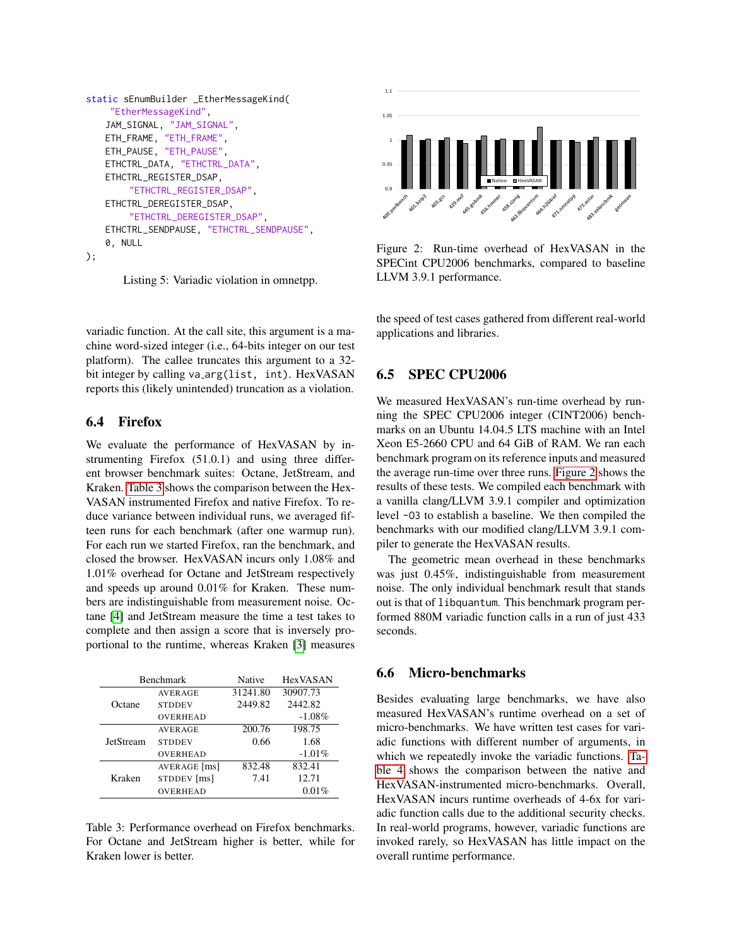```
static sEnumBuilder _EtherMessageKind(
    "EtherMessageKind",
   JAM_SIGNAL, "JAM_SIGNAL",
   ETH_FRAME, "ETH_FRAME",
   ETH_PAUSE, "ETH_PAUSE",
   ETHCTRL_DATA, "ETHCTRL_DATA",
   ETHCTRL_REGISTER_DSAP,
        "ETHCTRL_REGISTER_DSAP",
   ETHCTRL_DEREGISTER_DSAP,
        "ETHCTRL_DEREGISTER_DSAP",
   ETHCTRL_SENDPAUSE, "ETHCTRL_SENDPAUSE",
   0, NULL
);
```
Listing 5: Variadic violation in omnetpp.

variadic function. At the call site, this argument is a machine word-sized integer (i.e., 64-bits integer on our test platform). The callee truncates this argument to a 32 bit integer by calling va arg(list, int). HexVASAN reports this (likely unintended) truncation as a violation.

## 6.4 Firefox

We evaluate the performance of HexVASAN by instrumenting Firefox (51.0.1) and using three different browser benchmark suites: Octane, JetStream, and Kraken. [Table 3](#page-11-1) shows the comparison between the Hex-VASAN instrumented Firefox and native Firefox. To reduce variance between individual runs, we averaged fifteen runs for each benchmark (after one warmup run). For each run we started Firefox, ran the benchmark, and closed the browser. HexVASAN incurs only 1.08% and 1.01% overhead for Octane and JetStream respectively and speeds up around 0.01% for Kraken. These numbers are indistinguishable from measurement noise. Octane [\[4\]](#page-13-6) and JetStream measure the time a test takes to complete and then assign a score that is inversely proportional to the runtime, whereas Kraken [\[3\]](#page-13-7) measures

| <b>Benchmark</b> |                | Native   | <b>HexVASAN</b> |  |
|------------------|----------------|----------|-----------------|--|
|                  | <b>AVERAGE</b> | 31241.80 | 30907.73        |  |
| Octane           | <b>STDDEV</b>  | 2449.82  | 2442.82         |  |
|                  | OVERHEAD       |          | $-1.08\%$       |  |
| <b>JetStream</b> | <b>AVERAGE</b> | 200.76   | 198.75          |  |
|                  | <b>STDDEV</b>  | 0.66     | 1.68            |  |
|                  | OVERHEAD       |          | $-1.01\%$       |  |
| Kraken           | AVERAGE [ms]   | 832.48   | 832.41          |  |
|                  | STDDEV [ms]    | 7.41     | 12.71           |  |
|                  | OVERHEAD       |          | 0.01%           |  |

<span id="page-11-1"></span>Table 3: Performance overhead on Firefox benchmarks. For Octane and JetStream higher is better, while for Kraken lower is better.



<span id="page-11-2"></span>Figure 2: Run-time overhead of HexVASAN in the SPECint CPU2006 benchmarks, compared to baseline LLVM 3.9.1 performance.

the speed of test cases gathered from different real-world applications and libraries.

## 6.5 SPEC CPU2006

We measured HexVASAN's run-time overhead by running the SPEC CPU2006 integer (CINT2006) benchmarks on an Ubuntu 14.04.5 LTS machine with an Intel Xeon E5-2660 CPU and 64 GiB of RAM. We ran each benchmark program on its reference inputs and measured the average run-time over three runs. [Figure 2](#page-11-2) shows the results of these tests. We compiled each benchmark with a vanilla clang/LLVM 3.9.1 compiler and optimization level -O3 to establish a baseline. We then compiled the benchmarks with our modified clang/LLVM 3.9.1 compiler to generate the HexVASAN results.

The geometric mean overhead in these benchmarks was just 0.45%, indistinguishable from measurement noise. The only individual benchmark result that stands out is that of libquantum. This benchmark program performed 880M variadic function calls in a run of just 433 seconds.

## 6.6 Micro-benchmarks

Besides evaluating large benchmarks, we have also measured HexVASAN's runtime overhead on a set of micro-benchmarks. We have written test cases for variadic functions with different number of arguments, in which we repeatedly invoke the variadic functions. [Ta](#page-12-0)[ble 4](#page-12-0) shows the comparison between the native and HexVASAN-instrumented micro-benchmarks. Overall, HexVASAN incurs runtime overheads of 4-6x for variadic function calls due to the additional security checks. In real-world programs, however, variadic functions are invoked rarely, so HexVASAN has little impact on the overall runtime performance.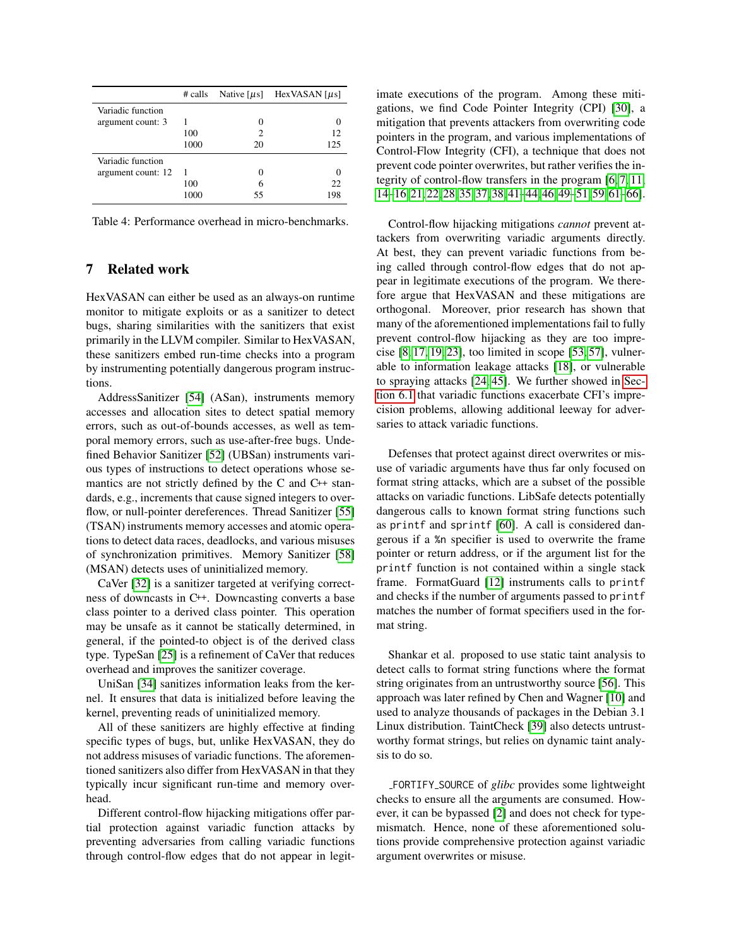|                    | # calls | Native $[\mu s]$ | HexVASAN $\lceil \mu s \rceil$ |
|--------------------|---------|------------------|--------------------------------|
| Variadic function  |         |                  |                                |
| argument count: 3  |         |                  |                                |
|                    | 100     | 2                | 12                             |
|                    | 1000    | 20               | 125                            |
| Variadic function  |         |                  |                                |
| argument count: 12 | 1       |                  | $\mathbf{\Omega}$              |
|                    | 100     | 6                | 22                             |
|                    | 1000    | 55               | 198                            |

<span id="page-12-0"></span>Table 4: Performance overhead in micro-benchmarks.

## 7 Related work

HexVASAN can either be used as an always-on runtime monitor to mitigate exploits or as a sanitizer to detect bugs, sharing similarities with the sanitizers that exist primarily in the LLVM compiler. Similar to HexVASAN, these sanitizers embed run-time checks into a program by instrumenting potentially dangerous program instructions.

AddressSanitizer [\[54\]](#page-14-13) (ASan), instruments memory accesses and allocation sites to detect spatial memory errors, such as out-of-bounds accesses, as well as temporal memory errors, such as use-after-free bugs. Undefined Behavior Sanitizer [\[52\]](#page-14-14) (UBSan) instruments various types of instructions to detect operations whose semantics are not strictly defined by the C and C++ standards, e.g., increments that cause signed integers to over-flow, or null-pointer dereferences. Thread Sanitizer [\[55\]](#page-14-15) (TSAN) instruments memory accesses and atomic operations to detect data races, deadlocks, and various misuses of synchronization primitives. Memory Sanitizer [\[58\]](#page-14-16) (MSAN) detects uses of uninitialized memory.

CaVer [\[32\]](#page-14-17) is a sanitizer targeted at verifying correctness of downcasts in C++. Downcasting converts a base class pointer to a derived class pointer. This operation may be unsafe as it cannot be statically determined, in general, if the pointed-to object is of the derived class type. TypeSan [\[25\]](#page-14-18) is a refinement of CaVer that reduces overhead and improves the sanitizer coverage.

UniSan [\[34\]](#page-14-19) sanitizes information leaks from the kernel. It ensures that data is initialized before leaving the kernel, preventing reads of uninitialized memory.

All of these sanitizers are highly effective at finding specific types of bugs, but, unlike HexVASAN, they do not address misuses of variadic functions. The aforementioned sanitizers also differ from HexVASAN in that they typically incur significant run-time and memory overhead.

Different control-flow hijacking mitigations offer partial protection against variadic function attacks by preventing adversaries from calling variadic functions through control-flow edges that do not appear in legitimate executions of the program. Among these mitigations, we find Code Pointer Integrity (CPI) [\[30\]](#page-14-20), a mitigation that prevents attackers from overwriting code pointers in the program, and various implementations of Control-Flow Integrity (CFI), a technique that does not prevent code pointer overwrites, but rather verifies the integrity of control-flow transfers in the program [\[6,](#page-13-1) [7,](#page-13-8) [11,](#page-13-9) [14–](#page-13-10)[16,](#page-13-11) [21,](#page-13-12) [22,](#page-13-13) [28,](#page-14-21) [35,](#page-14-11) [37,](#page-14-12) [38,](#page-14-22) [41](#page-14-23)[–44,](#page-14-10) [46,](#page-14-24) [49](#page-14-25)[–51,](#page-14-26) [59,](#page-14-9) [61](#page-15-0)[–66\]](#page-15-1).

Control-flow hijacking mitigations *cannot* prevent attackers from overwriting variadic arguments directly. At best, they can prevent variadic functions from being called through control-flow edges that do not appear in legitimate executions of the program. We therefore argue that HexVASAN and these mitigations are orthogonal. Moreover, prior research has shown that many of the aforementioned implementations fail to fully prevent control-flow hijacking as they are too imprecise  $[8, 17, 19, 23]$  $[8, 17, 19, 23]$  $[8, 17, 19, 23]$  $[8, 17, 19, 23]$ , too limited in scope  $[53, 57]$  $[53, 57]$ , vulnerable to information leakage attacks [\[18\]](#page-13-17), or vulnerable to spraying attacks [\[24,](#page-14-30) [45\]](#page-14-31). We further showed in [Sec](#page-8-0)[tion 6.1](#page-8-0) that variadic functions exacerbate CFI's imprecision problems, allowing additional leeway for adversaries to attack variadic functions.

Defenses that protect against direct overwrites or misuse of variadic arguments have thus far only focused on format string attacks, which are a subset of the possible attacks on variadic functions. LibSafe detects potentially dangerous calls to known format string functions such as printf and sprintf [\[60\]](#page-15-2). A call is considered dangerous if a %n specifier is used to overwrite the frame pointer or return address, or if the argument list for the printf function is not contained within a single stack frame. FormatGuard [\[12\]](#page-13-18) instruments calls to printf and checks if the number of arguments passed to printf matches the number of format specifiers used in the format string.

Shankar et al. proposed to use static taint analysis to detect calls to format string functions where the format string originates from an untrustworthy source [\[56\]](#page-14-32). This approach was later refined by Chen and Wagner [\[10\]](#page-13-19) and used to analyze thousands of packages in the Debian 3.1 Linux distribution. TaintCheck [\[39\]](#page-14-33) also detects untrustworthy format strings, but relies on dynamic taint analysis to do so.

FORTIFY SOURCE of *glibc* provides some lightweight checks to ensure all the arguments are consumed. However, it can be bypassed [\[2\]](#page-13-20) and does not check for typemismatch. Hence, none of these aforementioned solutions provide comprehensive protection against variadic argument overwrites or misuse.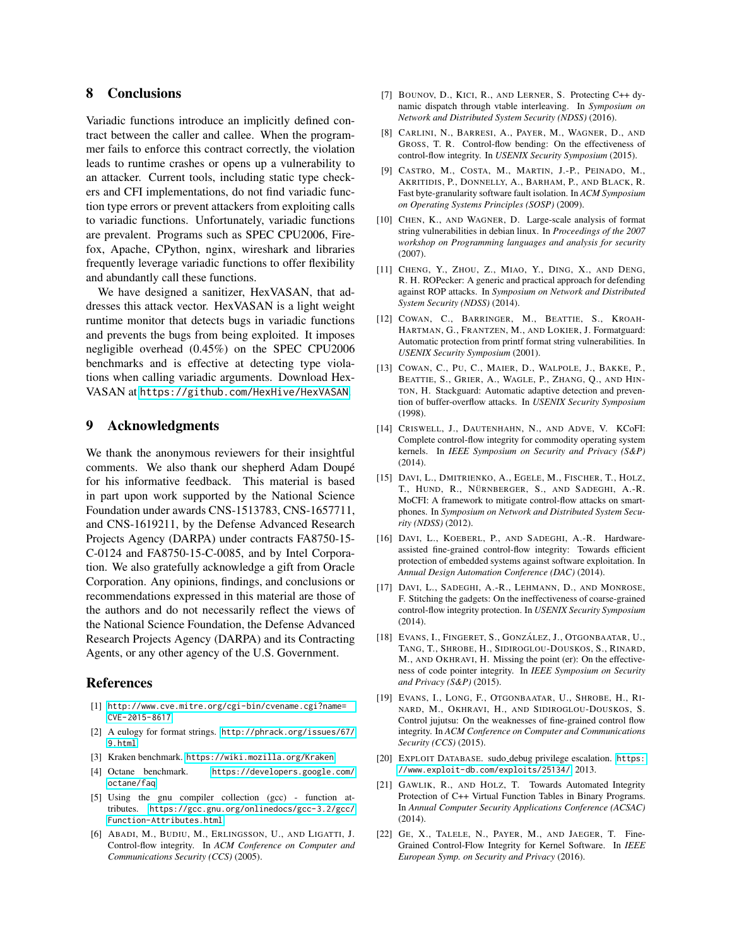## 8 Conclusions

Variadic functions introduce an implicitly defined contract between the caller and callee. When the programmer fails to enforce this contract correctly, the violation leads to runtime crashes or opens up a vulnerability to an attacker. Current tools, including static type checkers and CFI implementations, do not find variadic function type errors or prevent attackers from exploiting calls to variadic functions. Unfortunately, variadic functions are prevalent. Programs such as SPEC CPU2006, Firefox, Apache, CPython, nginx, wireshark and libraries frequently leverage variadic functions to offer flexibility and abundantly call these functions.

We have designed a sanitizer, HexVASAN, that addresses this attack vector. HexVASAN is a light weight runtime monitor that detects bugs in variadic functions and prevents the bugs from being exploited. It imposes negligible overhead (0.45%) on the SPEC CPU2006 benchmarks and is effective at detecting type violations when calling variadic arguments. Download Hex-VASAN at <https://github.com/HexHive/HexVASAN>.

#### 9 Acknowledgments

We thank the anonymous reviewers for their insightful comments. We also thank our shepherd Adam Doupé for his informative feedback. This material is based in part upon work supported by the National Science Foundation under awards CNS-1513783, CNS-1657711, and CNS-1619211, by the Defense Advanced Research Projects Agency (DARPA) under contracts FA8750-15- C-0124 and FA8750-15-C-0085, and by Intel Corporation. We also gratefully acknowledge a gift from Oracle Corporation. Any opinions, findings, and conclusions or recommendations expressed in this material are those of the authors and do not necessarily reflect the views of the National Science Foundation, the Defense Advanced Research Projects Agency (DARPA) and its Contracting Agents, or any other agency of the U.S. Government.

#### References

- <span id="page-13-2"></span>[1] [http://www.cve.mitre.org/cgi-bin/cvename.cgi?name=](http://www.cve.mitre.org/cgi-bin/cvename.cgi?name=CVE-2015-8617) [CVE-2015-8617](http://www.cve.mitre.org/cgi-bin/cvename.cgi?name=CVE-2015-8617).
- <span id="page-13-20"></span>[2] A eulogy for format strings. [http://phrack.org/issues/67/](http://phrack.org/issues/67/9.html) [9.html](http://phrack.org/issues/67/9.html).
- <span id="page-13-7"></span>[3] Kraken benchmark. <https://wiki.mozilla.org/Kraken>.
- <span id="page-13-6"></span>[4] Octane benchmark. [https://developers.google.com/](https://developers.google.com/octane/faq) [octane/faq](https://developers.google.com/octane/faq).
- <span id="page-13-5"></span>[5] Using the gnu compiler collection (gcc) - function attributes. [https://gcc.gnu.org/onlinedocs/gcc-3.2/gcc/](https://gcc.gnu.org/onlinedocs/gcc-3.2/gcc/Function-Attributes.html) [Function-Attributes.html](https://gcc.gnu.org/onlinedocs/gcc-3.2/gcc/Function-Attributes.html).
- <span id="page-13-1"></span>[6] ABADI, M., BUDIU, M., ERLINGSSON, U., AND LIGATTI, J. Control-flow integrity. In *ACM Conference on Computer and Communications Security (CCS)* (2005).
- <span id="page-13-8"></span>[7] BOUNOV, D., KICI, R., AND LERNER, S. Protecting C++ dynamic dispatch through vtable interleaving. In *Symposium on Network and Distributed System Security (NDSS)* (2016).
- <span id="page-13-14"></span>[8] CARLINI, N., BARRESI, A., PAYER, M., WAGNER, D., AND GROSS, T. R. Control-flow bending: On the effectiveness of control-flow integrity. In *USENIX Security Symposium* (2015).
- <span id="page-13-3"></span>[9] CASTRO, M., COSTA, M., MARTIN, J.-P., PEINADO, M., AKRITIDIS, P., DONNELLY, A., BARHAM, P., AND BLACK, R. Fast byte-granularity software fault isolation. In *ACM Symposium on Operating Systems Principles (SOSP)* (2009).
- <span id="page-13-19"></span>[10] CHEN, K., AND WAGNER, D. Large-scale analysis of format string vulnerabilities in debian linux. In *Proceedings of the 2007 workshop on Programming languages and analysis for security* (2007).
- <span id="page-13-9"></span>[11] CHENG, Y., ZHOU, Z., MIAO, Y., DING, X., AND DENG, R. H. ROPecker: A generic and practical approach for defending against ROP attacks. In *Symposium on Network and Distributed System Security (NDSS)* (2014).
- <span id="page-13-18"></span>[12] COWAN, C., BARRINGER, M., BEATTIE, S., KROAH-HARTMAN, G., FRANTZEN, M., AND LOKIER, J. Formatguard: Automatic protection from printf format string vulnerabilities. In *USENIX Security Symposium* (2001).
- <span id="page-13-0"></span>[13] COWAN, C., PU, C., MAIER, D., WALPOLE, J., BAKKE, P., BEATTIE, S., GRIER, A., WAGLE, P., ZHANG, Q., AND HIN-TON, H. Stackguard: Automatic adaptive detection and prevention of buffer-overflow attacks. In *USENIX Security Symposium* (1998).
- <span id="page-13-10"></span>[14] CRISWELL, J., DAUTENHAHN, N., AND ADVE, V. KCoFI: Complete control-flow integrity for commodity operating system kernels. In *IEEE Symposium on Security and Privacy (S&P)* (2014).
- [15] DAVI, L., DMITRIENKO, A., EGELE, M., FISCHER, T., HOLZ, T., HUND, R., NÜRNBERGER, S., AND SADEGHI, A.-R. MoCFI: A framework to mitigate control-flow attacks on smartphones. In *Symposium on Network and Distributed System Security (NDSS)* (2012).
- <span id="page-13-11"></span>[16] DAVI, L., KOEBERL, P., AND SADEGHI, A.-R. Hardwareassisted fine-grained control-flow integrity: Towards efficient protection of embedded systems against software exploitation. In *Annual Design Automation Conference (DAC)* (2014).
- <span id="page-13-15"></span>[17] DAVI, L., SADEGHI, A.-R., LEHMANN, D., AND MONROSE, F. Stitching the gadgets: On the ineffectiveness of coarse-grained control-flow integrity protection. In *USENIX Security Symposium* (2014).
- <span id="page-13-17"></span>[18] EVANS, I., FINGERET, S., GONZÁLEZ, J., OTGONBAATAR, U., TANG, T., SHROBE, H., SIDIROGLOU-DOUSKOS, S., RINARD, M., AND OKHRAVI, H. Missing the point (er): On the effectiveness of code pointer integrity. In *IEEE Symposium on Security and Privacy (S&P)* (2015).
- <span id="page-13-16"></span>[19] EVANS, I., LONG, F., OTGONBAATAR, U., SHROBE, H., RI-NARD, M., OKHRAVI, H., AND SIDIROGLOU-DOUSKOS, S. Control jujutsu: On the weaknesses of fine-grained control flow integrity. In *ACM Conference on Computer and Communications Security (CCS)* (2015).
- <span id="page-13-4"></span>[20] EXPLOIT DATABASE. sudo debug privilege escalation. [https:](https://www.exploit-db.com/exploits/25134/) [//www.exploit-db.com/exploits/25134/](https://www.exploit-db.com/exploits/25134/), 2013.
- <span id="page-13-12"></span>[21] GAWLIK, R., AND HOLZ, T. Towards Automated Integrity Protection of C++ Virtual Function Tables in Binary Programs. In *Annual Computer Security Applications Conference (ACSAC)* (2014).
- <span id="page-13-13"></span>[22] GE, X., TALELE, N., PAYER, M., AND JAEGER, T. Fine-Grained Control-Flow Integrity for Kernel Software. In *IEEE European Symp. on Security and Privacy* (2016).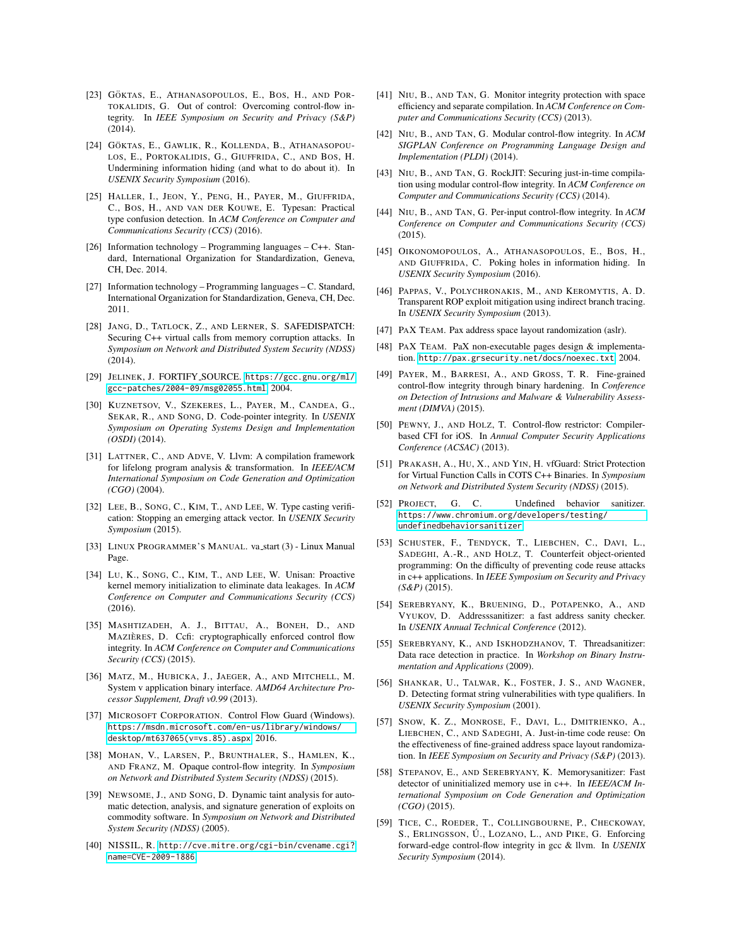- <span id="page-14-27"></span>[23] GÖKTAS, E., ATHANASOPOULOS, E., BOS, H., AND POR-TOKALIDIS, G. Out of control: Overcoming control-flow integrity. In *IEEE Symposium on Security and Privacy (S&P)* (2014).
- <span id="page-14-30"></span>[24] GÖKTAS, E., GAWLIK, R., KOLLENDA, B., ATHANASOPOU-LOS, E., PORTOKALIDIS, G., GIUFFRIDA, C., AND BOS, H. Undermining information hiding (and what to do about it). In *USENIX Security Symposium* (2016).
- <span id="page-14-18"></span>[25] HALLER, I., JEON, Y., PENG, H., PAYER, M., GIUFFRIDA, C., BOS, H., AND VAN DER KOUWE, E. Typesan: Practical type confusion detection. In *ACM Conference on Computer and Communications Security (CCS)* (2016).
- <span id="page-14-7"></span>[26] Information technology – Programming languages – C++. Standard, International Organization for Standardization, Geneva, CH, Dec. 2014.
- <span id="page-14-6"></span>[27] Information technology – Programming languages – C. Standard, International Organization for Standardization, Geneva, CH, Dec. 2011.
- <span id="page-14-21"></span>[28] JANG, D., TATLOCK, Z., AND LERNER, S. SAFEDISPATCH: Securing C++ virtual calls from memory corruption attacks. In *Symposium on Network and Distributed System Security (NDSS)* (2014).
- <span id="page-14-5"></span>[29] JELINEK, J. FORTIFY SOURCE. [https://gcc.gnu.org/ml/](https://gcc.gnu.org/ml/gcc-patches/2004-09/msg02055.html) [gcc-patches/2004-09/msg02055.html](https://gcc.gnu.org/ml/gcc-patches/2004-09/msg02055.html), 2004.
- <span id="page-14-20"></span>[30] KUZNETSOV, V., SZEKERES, L., PAYER, M., CANDEA, G., SEKAR, R., AND SONG, D. Code-pointer integrity. In *USENIX Symposium on Operating Systems Design and Implementation (OSDI)* (2014).
- <span id="page-14-8"></span>[31] LATTNER, C., AND ADVE, V. Llvm: A compilation framework for lifelong program analysis & transformation. In *IEEE/ACM International Symposium on Code Generation and Optimization (CGO)* (2004).
- <span id="page-14-17"></span>[32] LEE, B., SONG, C., KIM, T., AND LEE, W. Type casting verification: Stopping an emerging attack vector. In *USENIX Security Symposium* (2015).
- <span id="page-14-2"></span>[33] LINUX PROGRAMMER'S MANUAL. va\_start (3) - Linux Manual Page.
- <span id="page-14-19"></span>[34] LU, K., SONG, C., KIM, T., AND LEE, W. Unisan: Proactive kernel memory initialization to eliminate data leakages. In *ACM Conference on Computer and Communications Security (CCS)* (2016).
- <span id="page-14-11"></span>[35] MASHTIZADEH, A. J., BITTAU, A., BONEH, D., AND MAZIÈRES, D. Ccfi: cryptographically enforced control flow integrity. In *ACM Conference on Computer and Communications Security (CCS)* (2015).
- <span id="page-14-3"></span>[36] MATZ, M., HUBICKA, J., JAEGER, A., AND MITCHELL, M. System v application binary interface. *AMD64 Architecture Processor Supplement, Draft v0.99* (2013).
- <span id="page-14-12"></span>[37] MICROSOFT CORPORATION. Control Flow Guard (Windows). [https://msdn.microsoft.com/en-us/library/windows/](https://msdn.microsoft.com/en-us/library/windows/desktop/mt637065(v=vs.85).aspx) [desktop/mt637065\(v=vs.85\).aspx](https://msdn.microsoft.com/en-us/library/windows/desktop/mt637065(v=vs.85).aspx), 2016.
- <span id="page-14-22"></span>[38] MOHAN, V., LARSEN, P., BRUNTHALER, S., HAMLEN, K., AND FRANZ, M. Opaque control-flow integrity. In *Symposium on Network and Distributed System Security (NDSS)* (2015).
- <span id="page-14-33"></span>[39] NEWSOME, J., AND SONG, D. Dynamic taint analysis for automatic detection, analysis, and signature generation of exploits on commodity software. In *Symposium on Network and Distributed System Security (NDSS)* (2005).
- <span id="page-14-4"></span>[40] NISSIL, R. [http://cve.mitre.org/cgi-bin/cvename.cgi?](http://cve.mitre.org/cgi-bin/cvename.cgi?name=CVE-2009-1886) [name=CVE-2009-1886](http://cve.mitre.org/cgi-bin/cvename.cgi?name=CVE-2009-1886).
- <span id="page-14-23"></span>[41] NIU, B., AND TAN, G. Monitor integrity protection with space efficiency and separate compilation. In *ACM Conference on Computer and Communications Security (CCS)* (2013).
- [42] NIU, B., AND TAN, G. Modular control-flow integrity. In *ACM SIGPLAN Conference on Programming Language Design and Implementation (PLDI)* (2014).
- [43] NIU, B., AND TAN, G. RockJIT: Securing just-in-time compilation using modular control-flow integrity. In *ACM Conference on Computer and Communications Security (CCS)* (2014).
- <span id="page-14-10"></span>[44] NIU, B., AND TAN, G. Per-input control-flow integrity. In *ACM Conference on Computer and Communications Security (CCS)* (2015).
- <span id="page-14-31"></span>[45] OIKONOMOPOULOS, A., ATHANASOPOULOS, E., BOS, H., AND GIUFFRIDA, C. Poking holes in information hiding. In *USENIX Security Symposium* (2016).
- <span id="page-14-24"></span>[46] PAPPAS, V., POLYCHRONAKIS, M., AND KEROMYTIS, A. D. Transparent ROP exploit mitigation using indirect branch tracing. In *USENIX Security Symposium* (2013).
- <span id="page-14-0"></span>[47] PAX TEAM. Pax address space layout randomization (aslr).
- <span id="page-14-1"></span>[48] PAX TEAM. PaX non-executable pages design & implementation. <http://pax.grsecurity.net/docs/noexec.txt>, 2004.
- <span id="page-14-25"></span>[49] PAYER, M., BARRESI, A., AND GROSS, T. R. Fine-grained control-flow integrity through binary hardening. In *Conference on Detection of Intrusions and Malware & Vulnerability Assessment (DIMVA)* (2015).
- [50] PEWNY, J., AND HOLZ, T. Control-flow restrictor: Compilerbased CFI for iOS. In *Annual Computer Security Applications Conference (ACSAC)* (2013).
- <span id="page-14-26"></span>[51] PRAKASH, A., HU, X., AND YIN, H. vfGuard: Strict Protection for Virtual Function Calls in COTS C++ Binaries. In *Symposium on Network and Distributed System Security (NDSS)* (2015).
- <span id="page-14-14"></span>[52] PROJECT, G. C. Undefined behavior sanitizer. [https://www.chromium.org/developers/testing/](https://www.chromium.org/developers/testing/undefinedbehaviorsanitizer) [undefinedbehaviorsanitizer](https://www.chromium.org/developers/testing/undefinedbehaviorsanitizer).
- <span id="page-14-28"></span>[53] SCHUSTER, F., TENDYCK, T., LIEBCHEN, C., DAVI, L., SADEGHI, A.-R., AND HOLZ, T. Counterfeit object-oriented programming: On the difficulty of preventing code reuse attacks in c++ applications. In *IEEE Symposium on Security and Privacy (S&P)* (2015).
- <span id="page-14-13"></span>[54] SEREBRYANY, K., BRUENING, D., POTAPENKO, A., AND VYUKOV, D. Addresssanitizer: a fast address sanity checker. In *USENIX Annual Technical Conference* (2012).
- <span id="page-14-15"></span>[55] SEREBRYANY, K., AND ISKHODZHANOV, T. Threadsanitizer: Data race detection in practice. In *Workshop on Binary Instrumentation and Applications* (2009).
- <span id="page-14-32"></span>[56] SHANKAR, U., TALWAR, K., FOSTER, J. S., AND WAGNER, D. Detecting format string vulnerabilities with type qualifiers. In *USENIX Security Symposium* (2001).
- <span id="page-14-29"></span>[57] SNOW, K. Z., MONROSE, F., DAVI, L., DMITRIENKO, A., LIEBCHEN, C., AND SADEGHI, A. Just-in-time code reuse: On the effectiveness of fine-grained address space layout randomization. In *IEEE Symposium on Security and Privacy (S&P)* (2013).
- <span id="page-14-16"></span>[58] STEPANOV, E., AND SEREBRYANY, K. Memorysanitizer: Fast detector of uninitialized memory use in c++. In *IEEE/ACM International Symposium on Code Generation and Optimization (CGO)* (2015).
- <span id="page-14-9"></span>[59] TICE, C., ROEDER, T., COLLINGBOURNE, P., CHECKOWAY, S., ERLINGSSON, U., LOZANO, L., AND PIKE, G. Enforcing forward-edge control-flow integrity in gcc & llvm. In *USENIX Security Symposium* (2014).